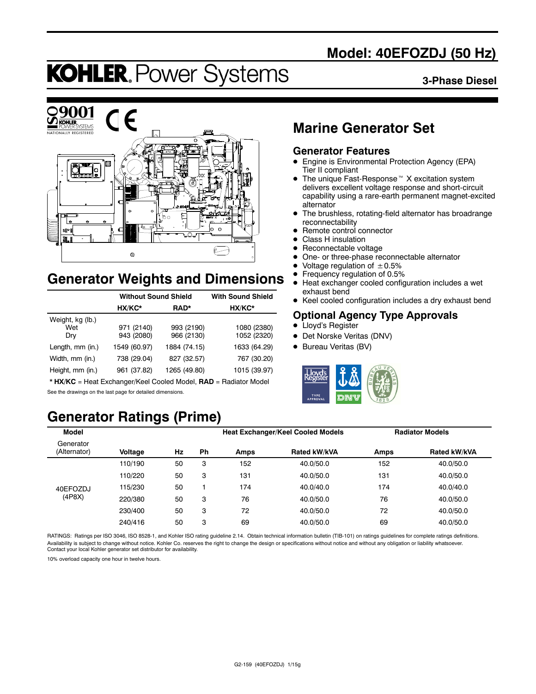# **Model: 40EFOZDJ (50 Hz)**

# **KOHLER. Power Systems**

#### **3-Phase Diesel**



# **Generator Weights and Dimensions**

|                                | <b>Without Sound Shield</b> | <b>With Sound Shield</b> |                            |
|--------------------------------|-----------------------------|--------------------------|----------------------------|
|                                | HX/KC*                      | RAD*                     | HX/KC*                     |
| Weight, kg (lb.)<br>Wet<br>Dry | 971 (2140)<br>943 (2080)    | 993 (2190)<br>966 (2130) | 1080 (2380)<br>1052 (2320) |
| Length, mm (in.)               | 1549 (60.97)                | 1884 (74.15)             | 1633 (64.29)               |
| Width, mm (in.)                | 738 (29.04)                 | 827 (32.57)              | 767 (30.20)                |
| Height, mm (in.)               | 961 (37.82)                 | 1265 (49.80)             | 1015 (39.97)               |

\* **HX/KC** = Heat Exchanger/Keel Cooled Model, **RAD** = Radiator Model See the drawings on the last page for detailed dimensions.

# **Generator Ratings (Prime)**

# **Marine Generator Set**

### **Generator Features**

- Engine is Environmental Protection Agency (EPA) Tier II compliant
- $\bullet$  The unique Fast-Response<sup> $M$ </sup> X excitation system delivers excellent voltage response and short-circuit capability using a rare-earth permanent magnet-excited alternator
- The brushless, rotating-field alternator has broadrange reconnectability
- Remote control connector
- Class H insulation
- Reconnectable voltage
- One- or three-phase reconnectable alternator
- Voltage regulation of  $\pm 0.5\%$ <br>• Frequency regulation of 0.5%
- **•** Frequency regulation of 0.5%<br>• Heat exchanger cooled config
- Heat exchanger cooled configuration includes a wet exhaust bend
- Keel cooled configuration includes a dry exhaust bend

### **Optional Agency Type Approvals**

- Lloyd's Register
- Det Norske Veritas (DNV)
- Bureau Veritas (BV)



| Model                     |         |    |    | <b>Heat Exchanger/Keel Cooled Models</b> |              | <b>Radiator Models</b> |              |  |
|---------------------------|---------|----|----|------------------------------------------|--------------|------------------------|--------------|--|
| Generator<br>(Alternator) | Voltage | Hz | Ph | Amps                                     | Rated kW/kVA | Amps                   | Rated kW/kVA |  |
|                           | 110/190 | 50 | 3  | 152                                      | 40.0/50.0    | 152                    | 40.0/50.0    |  |
|                           | 110/220 | 50 | 3  | 131                                      | 40.0/50.0    | 131                    | 40.0/50.0    |  |
| 40EFOZDJ                  | 115/230 | 50 |    | 174                                      | 40.0/40.0    | 174                    | 40.0/40.0    |  |
| (4P8X)                    | 220/380 | 50 | 3  | 76                                       | 40.0/50.0    | 76                     | 40.0/50.0    |  |
|                           | 230/400 | 50 | 3  | 72                                       | 40.0/50.0    | 72                     | 40.0/50.0    |  |
|                           | 240/416 | 50 | 3  | 69                                       | 40.0/50.0    | 69                     | 40.0/50.0    |  |

RATINGS: Ratings per ISO 3046, ISO 8528-1, and Kohler ISO rating guideline 2.14. Obtain technical information bulletin (TIB-101) on ratings guidelines for complete ratings definitions. Availability is subject to change without notice. Kohler Co. reserves the right to change the design or specifications without notice and without any obligation or liability whatsoever.<br>Contact your local Kohler generator

10% overload capacity one hour in twelve hours.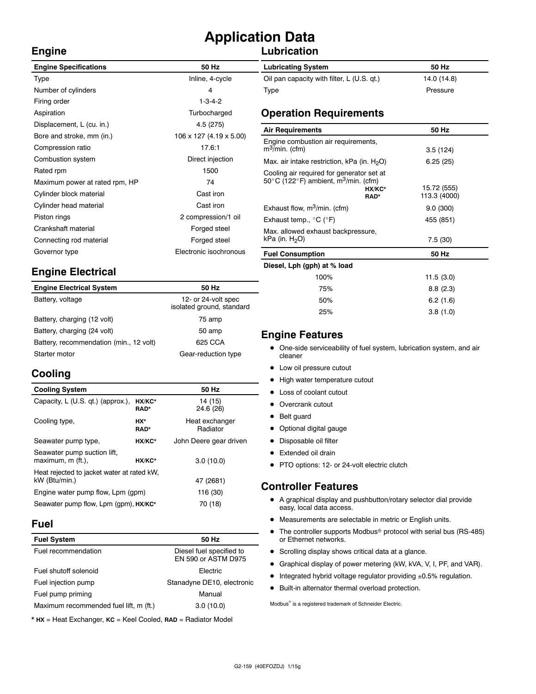# **Application Data**

## **Lubrication**

| <b>Engine Specifications</b>   | 50 Hz                   |
|--------------------------------|-------------------------|
| Type                           | Inline, 4-cycle         |
| Number of cylinders            | 4                       |
| Firing order                   | $1 - 3 - 4 - 2$         |
| Aspiration                     | Turbocharged            |
| Displacement, L (cu. in.)      | 4.5 (275)               |
| Bore and stroke, mm (in.)      | 106 x 127 (4.19 x 5.00) |
| Compression ratio              | 17.6:1                  |
| Combustion system              | Direct injection        |
| Rated rpm                      | 1500                    |
| Maximum power at rated rpm, HP | 74                      |
| Cylinder block material        | Cast iron               |
| Cylinder head material         | Cast iron               |
| Piston rings                   | 2 compression/1 oil     |
| Crankshaft material            | Forged steel            |
| Connecting rod material        | Forged steel            |
| Governor type                  | Electronic isochronous  |
|                                |                         |

# **Engine Electrical**

| <b>Engine Electrical System</b>         | 50 Hz                                            |
|-----------------------------------------|--------------------------------------------------|
| Battery, voltage                        | 12- or 24-volt spec<br>isolated ground, standard |
| Battery, charging (12 volt)             | 75 amp                                           |
| Battery, charging (24 volt)             | 50 amp                                           |
| Battery, recommendation (min., 12 volt) | 625 CCA                                          |
| Starter motor                           | Gear-reduction type                              |

# **Cooling**

**Engine**

| <b>Cooling System</b>                                       |                    | 50 Hz                      |
|-------------------------------------------------------------|--------------------|----------------------------|
| Capacity, L (U.S. qt.) (approx.),                           | HX/KC*<br>RAD*     | 14 (15)<br>24.6 (26)       |
| Cooling type,                                               | HX*<br><b>RAD*</b> | Heat exchanger<br>Radiator |
| Seawater pump type,                                         | HX/KC*             | John Deere gear driven     |
| Seawater pump suction lift,<br>maximum, m (ft.).            | HX/KC*             | 3.0(10.0)                  |
| Heat rejected to jacket water at rated kW,<br>kW (Btu/min.) | 47 (2681)          |                            |
| Engine water pump flow, Lpm (gpm)                           | 116 (30)           |                            |
| Seawater pump flow, Lpm (qpm), HX/KC*                       | 70 (18)            |                            |

### **Fuel**

| <b>Fuel System</b>                     | 50 Hz                                           |
|----------------------------------------|-------------------------------------------------|
| Fuel recommendation                    | Diesel fuel specified to<br>EN 590 or ASTM D975 |
| Fuel shutoff solenoid                  | <b>Flectric</b>                                 |
| Fuel injection pump                    | Stanadyne DE10, electronic                      |
| Fuel pump priming                      | Manual                                          |
| Maximum recommended fuel lift, m (ft.) | 3.0(10.0)                                       |
|                                        |                                                 |

\* **HX** = Heat Exchanger, **KC** = Keel Cooled, **RAD** = Radiator Model

| <b>Lubricating System</b>                  | 50 Hz       |
|--------------------------------------------|-------------|
| Oil pan capacity with filter, L (U.S. qt.) | 14.0 (14.8) |
| Type                                       | Pressure    |

### **Operation Requirements**

| <b>Air Requirements</b>                                                                                           |                | 50 Hz                       |  |
|-------------------------------------------------------------------------------------------------------------------|----------------|-----------------------------|--|
| Engine combustion air requirements,<br>$m^3$ /min. (cfm)                                                          |                |                             |  |
|                                                                                                                   |                | 3.5(124)                    |  |
| Max. air intake restriction, kPa (in. $H_2O$ )                                                                    |                | 6.25(25)                    |  |
| Cooling air required for generator set at<br>50 $\degree$ C (122 $\degree$ F) ambient, m <sup>3</sup> /min. (cfm) | HX/KC*<br>RAD* | 15.72 (555)<br>113.3 (4000) |  |
| Exhaust flow, $m^3/m$ in. (cfm)                                                                                   |                | 9.0(300)                    |  |
| Exhaust temp., $^{\circ}$ C ( $^{\circ}$ F)                                                                       |                | 455 (851)                   |  |
| Max. allowed exhaust backpressure,                                                                                |                |                             |  |
| kPa (in. $H_2O$ )                                                                                                 |                | 7.5(30)                     |  |
| <b>Fuel Consumption</b>                                                                                           |                | 50 Hz                       |  |
| Diesel, Lph (gph) at % load                                                                                       |                |                             |  |
| 100%                                                                                                              |                | 11.5(3.0)                   |  |
| 75%                                                                                                               |                | 8.8(2.3)                    |  |
| 50%                                                                                                               |                | 6.2(1.6)                    |  |

### **Engine Features**

• One-side serviceability of fuel system, lubrication system, and air cleaner

25% 3.8 (1.0)

- Low oil pressure cutout
- High water temperature cutout
- Loss of coolant cutout
- Overcrank cutout
- Belt guard
- Optional digital gauge
- Disposable oil filter
- Extended oil drain
- PTO options: 12- or 24-volt electric clutch

### **Controller Features**

- A graphical display and pushbutton/rotary selector dial provide easy, local data access.
- $\bullet$  Measurements are selectable in metric or English units.
- $\bullet$  The controller supports Modbus<sup>®</sup> protocol with serial bus (RS-485) or Ethernet networks.
- Scrolling display shows critical data at a glance.
- Graphical display of power metering (kW, kVA, V, I, PF, and VAR).
- $\bullet$  Integrated hybrid voltage regulator providing  $\pm 0.5\%$  regulation.
- $\bullet$  Built-in alternator thermal overload protection.

 $\text{Modbus}^{\otimes}$  is a registered trademark of Schneider Electric.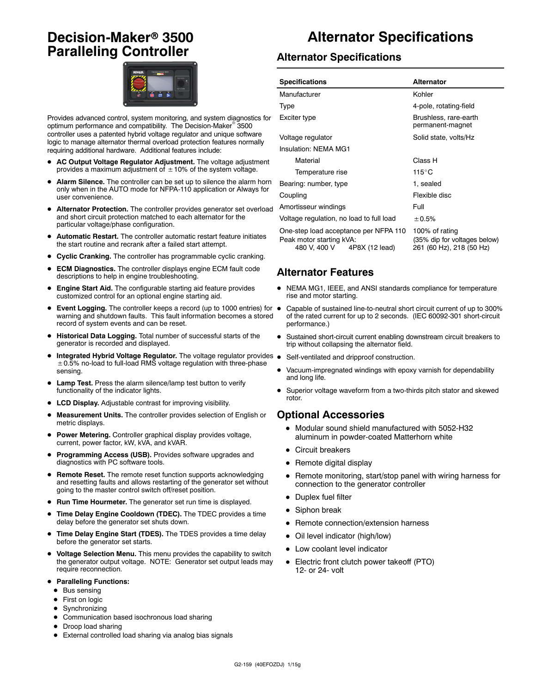# **Decision-Maker<sup>®</sup> 3500 Paralleling Controller**



Provides advanced control, system monitoring, and system diagnostics for optimum performance and compatibility. The Decision-Maker<sup>®</sup> 3500 controller uses a patented hybrid voltage regulator and unique software logic to manage alternator thermal overload protection features normally requiring additional hardware. Additional features include:

- AC Output Voltage Regulator Adjustment. The voltage adjustment provides a maximum adjustment of  $\pm$  10% of the system voltage.
- Alarm Silence. The controller can be set up to silence the alarm horn only when in the AUTO mode for NFPA-110 application or Always for user convenience.
- Alternator Protection. The controller provides generator set overload and short circuit protection matched to each alternator for the particular voltage/phase configuration.
- Automatic Restart. The controller automatic restart feature initiates the start routine and recrank after a failed start attempt.
- **Cyclic Cranking.** The controller has programmable cyclic cranking.
- **ECM Diagnostics.** The controller displays engine ECM fault code descriptions to help in engine troubleshooting.
- Engine Start Aid. The configurable starting aid feature provides customized control for an optional engine starting aid.
- **Event Logging.** The controller keeps a record (up to 1000 entries) for  $\bullet$ warning and shutdown faults. This fault information becomes a stored record of system events and can be reset.
- $\bullet$  Historical Data Logging. Total number of successful starts of the generator is recorded and displayed.
- Integrated Hybrid Voltage Regulator. The voltage regulator provides .  $\pm$  0.5% no-load to full-load RMS voltage regulation with three-phase sensing.
- Lamp Test. Press the alarm silence/lamp test button to verify functionality of the indicator lights.
- LCD Display. Adjustable contrast for improving visibility.
- Measurement Units. The controller provides selection of English or metric displays.
- **Power Metering.** Controller graphical display provides voltage, current, power factor, kW, kVA, and kVAR.
- Programming Access (USB). Provides software upgrades and diagnostics with PC software tools.
- **Remote Reset.** The remote reset function supports acknowledging and resetting faults and allows restarting of the generator set without going to the master control switch off/reset position.
- Run Time Hourmeter. The generator set run time is displayed.
- **Time Delay Engine Cooldown (TDEC).** The TDEC provides a time delay before the generator set shuts down.
- Time Delay Engine Start (TDES). The TDES provides a time delay before the generator set starts.
- $\bullet$  Voltage Selection Menu. This menu provides the capability to switch the generator output voltage. NOTE: Generator set output leads may require reconnection.
- **Paralleling Functions:** 
	- $\bullet$  Bus sensing
	- First on logic
	- $\bullet$  Synchronizing
	- $\bullet$  Communication based isochronous load sharing
	- Droop load sharing
	- External controlled load sharing via analog bias signals

# **Alternator Specifications**

### **Alternator Specifications**

| <b>Specifications</b>                                                                               | Alternator                                                                 |  |  |
|-----------------------------------------------------------------------------------------------------|----------------------------------------------------------------------------|--|--|
| Manufacturer                                                                                        | Kohler                                                                     |  |  |
| Type                                                                                                | 4-pole, rotating-field                                                     |  |  |
| Exciter type                                                                                        | Brushless, rare-earth<br>permanent-magnet                                  |  |  |
| Voltage regulator                                                                                   | Solid state, volts/Hz                                                      |  |  |
| Insulation: NEMA MG1                                                                                |                                                                            |  |  |
| Material                                                                                            | Class H                                                                    |  |  |
| Temperature rise                                                                                    | $115^{\circ}$ C                                                            |  |  |
| Bearing: number, type                                                                               | 1, sealed                                                                  |  |  |
| Coupling                                                                                            | Flexible disc                                                              |  |  |
| Amortisseur windings                                                                                | Full                                                                       |  |  |
| Voltage regulation, no load to full load                                                            | ± 0.5%                                                                     |  |  |
| One-step load acceptance per NFPA 110<br>Peak motor starting kVA:<br>480 V, 400 V<br>4P8X (12 lead) | 100% of rating<br>(35% dip for voltages below)<br>261 (60 Hz), 218 (50 Hz) |  |  |

### **Alternator Features**

- $\bullet$  NEMA MG1, IEEE, and ANSI standards compliance for temperature rise and motor starting.
- Capable of sustained line-to-neutral short circuit current of up to 300% of the rated current for up to 2 seconds. (IEC 60092-301 short-circuit performance.)
- Sustained short-circuit current enabling downstream circuit breakers to trip without collapsing the alternator field.
- Self-ventilated and dripproof construction.
- Vacuum-impregnated windings with epoxy varnish for dependability and long life.
- Superior voltage waveform from a two-thirds pitch stator and skewed rotor.

#### **Optional Accessories**

- $\bullet$  Modular sound shield manufactured with 5052-H32 aluminum in powder-coated Matterhorn white
- Circuit breakers
- $\bullet$  Remote digital display
- Remote monitoring, start/stop panel with wiring harness for connection to the generator controller
- Duplex fuel filter
- $\bullet$  Siphon break
- Remote connection/extension harness
- Oil level indicator (high/low)
- Low coolant level indicator
- Electric front clutch power takeoff (PTO) 12- or 24- volt